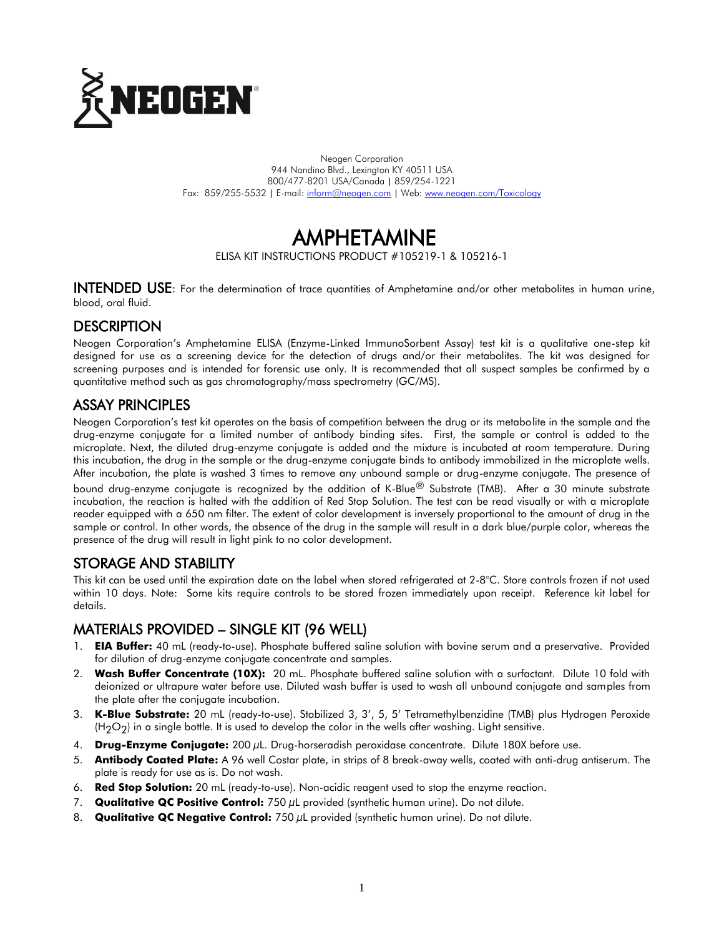

Neogen Corporation 944 Nandino Blvd., Lexington KY 40511 USA 800/477-8201 USA/Canada | 859/254-1221 Fax: 859/255-5532 | E-mail[: inform@neogen.com](mailto:inform@neogen.com) | Web[: www.neogen.com/Toxicology](http://www.neogen.com/Toxicology)

# AMPHETAMINE

ELISA KIT INSTRUCTIONS PRODUCT #105219-1 & 105216-1

INTENDED USE: For the determination of trace quantities of Amphetamine and/or other metabolites in human urine, blood, oral fluid.

# **DESCRIPTION**

Neogen Corporation's Amphetamine ELISA (Enzyme-Linked ImmunoSorbent Assay) test kit is a qualitative one-step kit designed for use as a screening device for the detection of drugs and/or their metabolites. The kit was designed for screening purposes and is intended for forensic use only. It is recommended that all suspect samples be confirmed by a quantitative method such as gas chromatography/mass spectrometry (GC/MS).

## ASSAY PRINCIPLES

Neogen Corporation's test kit operates on the basis of competition between the drug or its metabolite in the sample and the drug-enzyme conjugate for a limited number of antibody binding sites. First, the sample or control is added to the microplate. Next, the diluted drug-enzyme conjugate is added and the mixture is incubated at room temperature. During this incubation, the drug in the sample or the drug-enzyme conjugate binds to antibody immobilized in the microplate wells. After incubation, the plate is washed 3 times to remove any unbound sample or drug-enzyme conjugate. The presence of

bound drug-enzyme conjugate is recognized by the addition of K-Blue® Substrate (TMB). After a 30 minute substrate incubation, the reaction is halted with the addition of Red Stop Solution. The test can be read visually or with a microplate reader equipped with a 650 nm filter. The extent of color development is inversely proportional to the amount of drug in the sample or control. In other words, the absence of the drug in the sample will result in a dark blue/purple color, whereas the presence of the drug will result in light pink to no color development.

# STORAGE AND STABILITY

This kit can be used until the expiration date on the label when stored refrigerated at 2-8°C. Store controls frozen if not used within 10 days. Note: Some kits require controls to be stored frozen immediately upon receipt. Reference kit label for details.

# MATERIALS PROVIDED – SINGLE KIT (96 WELL)

- 1. **EIA Buffer:** 40 mL (ready-to-use). Phosphate buffered saline solution with bovine serum and a preservative. Provided for dilution of drug-enzyme conjugate concentrate and samples.
- 2. **Wash Buffer Concentrate (10X):** 20 mL. Phosphate buffered saline solution with a surfactant. Dilute 10 fold with deionized or ultrapure water before use. Diluted wash buffer is used to wash all unbound conjugate and samples from the plate after the conjugate incubation.
- 3. **K-Blue Substrate:** 20 mL (ready-to-use). Stabilized 3, 3', 5, 5' Tetramethylbenzidine (TMB) plus Hydrogen Peroxide  $(H<sub>2</sub>O<sub>2</sub>)$  in a single bottle. It is used to develop the color in the wells after washing. Light sensitive.
- 4. **Drug-Enzyme Conjugate:** 200 µL. Drug-horseradish peroxidase concentrate. Dilute 180X before use.
- 5. **Antibody Coated Plate:** A 96 well Costar plate, in strips of 8 break-away wells, coated with anti-drug antiserum. The plate is ready for use as is. Do not wash.
- 6. **Red Stop Solution:** 20 mL (ready-to-use). Non-acidic reagent used to stop the enzyme reaction.
- 7. **Qualitative QC Positive Control:** 750 µL provided (synthetic human urine). Do not dilute.
- 8. **Qualitative QC Negative Control:** 750 µL provided (synthetic human urine). Do not dilute.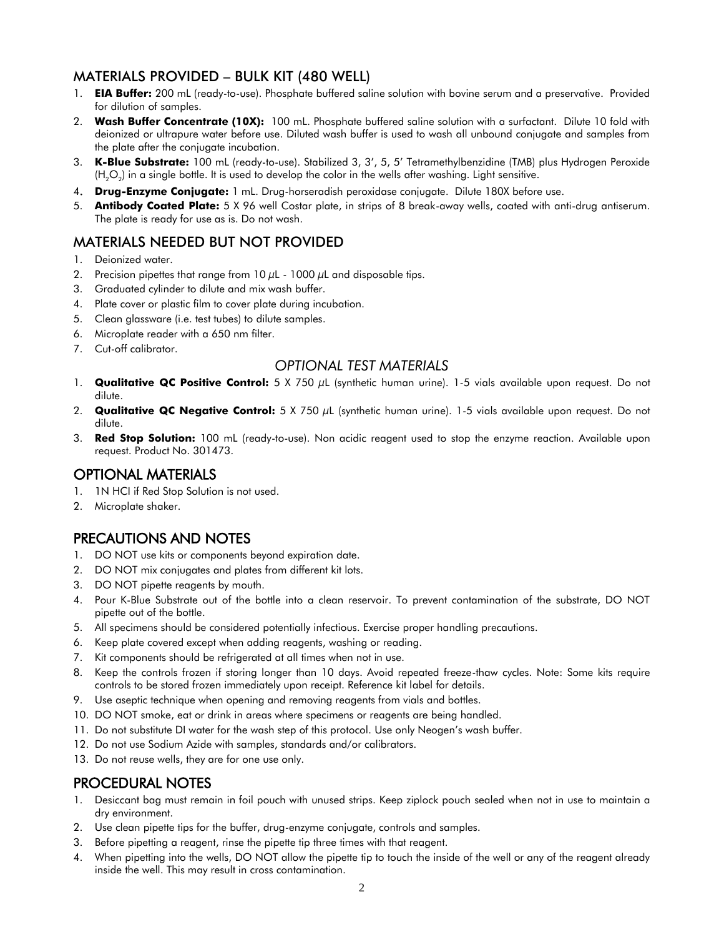# MATERIALS PROVIDED – BULK KIT (480 WELL)

- 1. **EIA Buffer:** 200 mL (ready-to-use). Phosphate buffered saline solution with bovine serum and a preservative. Provided for dilution of samples.
- 2. **Wash Buffer Concentrate (10X):** 100 mL. Phosphate buffered saline solution with a surfactant. Dilute 10 fold with deionized or ultrapure water before use. Diluted wash buffer is used to wash all unbound conjugate and samples from the plate after the conjugate incubation.
- 3. **K-Blue Substrate:** 100 mL (ready-to-use). Stabilized 3, 3', 5, 5' Tetramethylbenzidine (TMB) plus Hydrogen Peroxide (H $_{2}$ O $_{2}$ ) in a single bottle. It is used to develop the color in the wells after washing. Light sensitive.
- 4. **Drug-Enzyme Conjugate:** 1 mL. Drug-horseradish peroxidase conjugate. Dilute 180X before use.
- 5. **Antibody Coated Plate:** 5 X 96 well Costar plate, in strips of 8 break-away wells, coated with anti-drug antiserum. The plate is ready for use as is. Do not wash.

## MATERIALS NEEDED BUT NOT PROVIDED

- 1. Deionized water.
- 2. Precision pipettes that range from  $10 \mu$ L  $1000 \mu$ L and disposable tips.
- 3. Graduated cylinder to dilute and mix wash buffer.
- 4. Plate cover or plastic film to cover plate during incubation.
- 5. Clean glassware (i.e. test tubes) to dilute samples.
- 6. Microplate reader with a 650 nm filter.
- 7. Cut-off calibrator.

#### *OPTIONAL TEST MATERIALS*

- 1. **Qualitative QC Positive Control:** 5 X 750 µL (synthetic human urine). 1-5 vials available upon request. Do not dilute.
- 2. **Qualitative QC Negative Control:** 5 X 750 µL (synthetic human urine). 1-5 vials available upon request. Do not dilute.
- 3. **Red Stop Solution:** 100 mL (ready-to-use). Non acidic reagent used to stop the enzyme reaction. Available upon request. Product No. 301473.

## OPTIONAL MATERIALS

- 1. 1N HCI if Red Stop Solution is not used.
- 2. Microplate shaker.

# PRECAUTIONS AND NOTES

- 1. DO NOT use kits or components beyond expiration date.
- 2. DO NOT mix conjugates and plates from different kit lots.
- 3. DO NOT pipette reagents by mouth.
- 4. Pour K-Blue Substrate out of the bottle into a clean reservoir. To prevent contamination of the substrate, DO NOT pipette out of the bottle.
- 5. All specimens should be considered potentially infectious. Exercise proper handling precautions.
- 6. Keep plate covered except when adding reagents, washing or reading.
- 7. Kit components should be refrigerated at all times when not in use.
- 8. Keep the controls frozen if storing longer than 10 days. Avoid repeated freeze-thaw cycles. Note: Some kits require controls to be stored frozen immediately upon receipt. Reference kit label for details.
- 9. Use aseptic technique when opening and removing reagents from vials and bottles.
- 10. DO NOT smoke, eat or drink in areas where specimens or reagents are being handled.
- 11. Do not substitute DI water for the wash step of this protocol. Use only Neogen's wash buffer.
- 12. Do not use Sodium Azide with samples, standards and/or calibrators.
- 13. Do not reuse wells, they are for one use only.

### PROCEDURAL NOTES

- 1. Desiccant bag must remain in foil pouch with unused strips. Keep ziplock pouch sealed when not in use to maintain a dry environment.
- 2. Use clean pipette tips for the buffer, drug-enzyme conjugate, controls and samples.
- 3. Before pipetting a reagent, rinse the pipette tip three times with that reagent.
- 4. When pipetting into the wells, DO NOT allow the pipette tip to touch the inside of the well or any of the reagent already inside the well. This may result in cross contamination.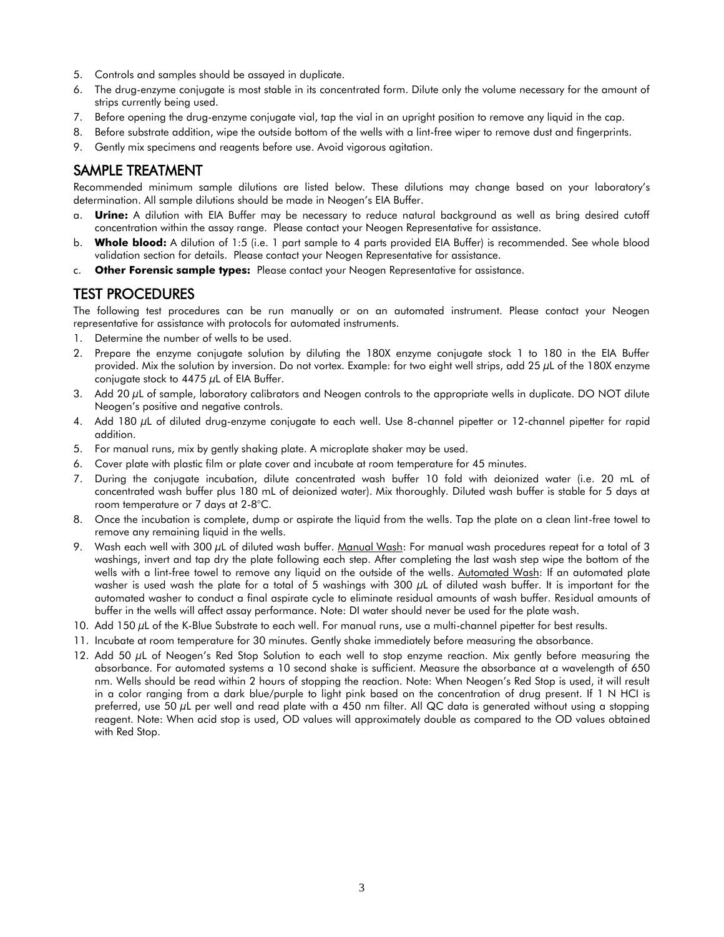- 5. Controls and samples should be assayed in duplicate.
- 6. The drug-enzyme conjugate is most stable in its concentrated form. Dilute only the volume necessary for the amount of strips currently being used.
- 7. Before opening the drug-enzyme conjugate vial, tap the vial in an upright position to remove any liquid in the cap.
- 8. Before substrate addition, wipe the outside bottom of the wells with a lint-free wiper to remove dust and fingerprints.
- 9. Gently mix specimens and reagents before use. Avoid vigorous agitation.

### SAMPLE TREATMENT

Recommended minimum sample dilutions are listed below. These dilutions may change based on your laboratory's determination. All sample dilutions should be made in Neogen's EIA Buffer.

- a. **Urine:** A dilution with EIA Buffer may be necessary to reduce natural background as well as bring desired cutoff concentration within the assay range. Please contact your Neogen Representative for assistance.
- b. **Whole blood:** A dilution of 1:5 (i.e. 1 part sample to 4 parts provided EIA Buffer) is recommended. See whole blood validation section for details. Please contact your Neogen Representative for assistance.
- c. **Other Forensic sample types:** Please contact your Neogen Representative for assistance.

#### TEST PROCEDURES

The following test procedures can be run manually or on an automated instrument. Please contact your Neogen representative for assistance with protocols for automated instruments.

- 1. Determine the number of wells to be used.
- 2. Prepare the enzyme conjugate solution by diluting the 180X enzyme conjugate stock 1 to 180 in the EIA Buffer provided. Mix the solution by inversion. Do not vortex. Example: for two eight well strips, add 25  $\mu$ L of the 180X enzyme conjugate stock to  $4475 \mu L$  of EIA Buffer.
- 3. Add 20 µL of sample, laboratory calibrators and Neogen controls to the appropriate wells in duplicate. DO NOT dilute Neogen's positive and negative controls.
- 4. Add 180 µL of diluted drug-enzyme conjugate to each well. Use 8-channel pipetter or 12-channel pipetter for rapid addition.
- 5. For manual runs, mix by gently shaking plate. A microplate shaker may be used.
- 6. Cover plate with plastic film or plate cover and incubate at room temperature for 45 minutes.
- 7. During the conjugate incubation, dilute concentrated wash buffer 10 fold with deionized water (i.e. 20 mL of concentrated wash buffer plus 180 mL of deionized water). Mix thoroughly. Diluted wash buffer is stable for 5 days at room temperature or 7 days at 2-8°C.
- 8. Once the incubation is complete, dump or aspirate the liquid from the wells. Tap the plate on a clean lint-free towel to remove any remaining liquid in the wells.
- 9. Wash each well with 300 µL of diluted wash buffer. Manual Wash: For manual wash procedures repeat for a total of 3 washings, invert and tap dry the plate following each step. After completing the last wash step wipe the bottom of the wells with a lint-free towel to remove any liquid on the outside of the wells. Automated Wash: If an automated plate washer is used wash the plate for a total of 5 washings with 300  $\mu$ L of diluted wash buffer. It is important for the automated washer to conduct a final aspirate cycle to eliminate residual amounts of wash buffer. Residual amounts of buffer in the wells will affect assay performance. Note: DI water should never be used for the plate wash.
- 10. Add 150  $\mu$ L of the K-Blue Substrate to each well. For manual runs, use a multi-channel pipetter for best results.
- 11. Incubate at room temperature for 30 minutes. Gently shake immediately before measuring the absorbance.
- 12. Add 50  $\mu$ L of Neogen's Red Stop Solution to each well to stop enzyme reaction. Mix gently before measuring the absorbance. For automated systems a 10 second shake is sufficient. Measure the absorbance at a wavelength of 650 nm. Wells should be read within 2 hours of stopping the reaction. Note: When Neogen's Red Stop is used, it will result in a color ranging from a dark blue/purple to light pink based on the concentration of drug present. If 1 N HCI is preferred, use 50 µL per well and read plate with a 450 nm filter. All QC data is generated without using a stopping reagent. Note: When acid stop is used, OD values will approximately double as compared to the OD values obtained with Red Stop.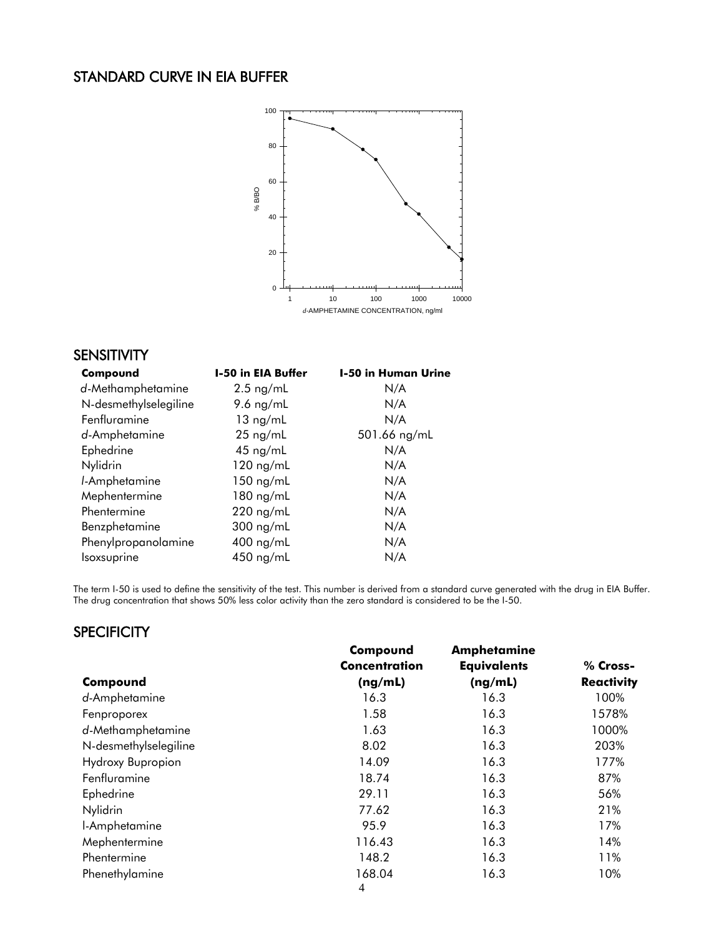# STANDARD CURVE IN EIA BUFFER



#### SENSITIVITY

| Compound              | <b>I-50 in EIA Buffer</b> | <b>I-50 in Human Urine</b><br>N/A |  |
|-----------------------|---------------------------|-----------------------------------|--|
| d-Methamphetamine     | $2.5$ ng/mL               |                                   |  |
| N-desmethylselegiline | 9.6 $ng/mL$               | N/A                               |  |
| Fenfluramine          | $13 \text{ ng/mL}$        | N/A                               |  |
| d-Amphetamine         | $25$ ng/mL                | 501.66 ng/mL                      |  |
| Ephedrine             | $45$ ng/mL                | N/A                               |  |
| Nylidrin              | $120$ ng/mL               | N/A                               |  |
| I-Amphetamine         | $150$ ng/mL               | N/A                               |  |
| Mephentermine         | 180 ng/mL                 | N/A                               |  |
| Phentermine           | $220$ ng/mL               | N/A                               |  |
| Benzphetamine         | $300$ ng/mL               | N/A                               |  |
| Phenylpropanolamine   | 400 ng/mL                 | N/A                               |  |
| <i>soxsuprine</i>     | 450 ng/mL                 | N/A                               |  |

The term I-50 is used to define the sensitivity of the test. This number is derived from a standard curve generated with the drug in EIA Buffer. The drug concentration that shows 50% less color activity than the zero standard is considered to be the I-50.

# **SPECIFICITY**

|                       | Compound             | <b>Amphetamine</b> |                   |  |
|-----------------------|----------------------|--------------------|-------------------|--|
|                       | <b>Concentration</b> | <b>Equivalents</b> | % Cross-          |  |
| Compound              | (ng/mL)              | (ng/mL)            | <b>Reactivity</b> |  |
| d-Amphetamine         | 16.3                 | 16.3               | 100%              |  |
| Fenproporex           | 1.58                 | 16.3               | 1578%             |  |
| d-Methamphetamine     | 1.63                 | 16.3               | 1000%             |  |
| N-desmethylselegiline | 8.02                 | 16.3               | 203%              |  |
| Hydroxy Bupropion     | 14.09                | 16.3               | 177%              |  |
| Fenfluramine          | 18.74                | 16.3               | 87%               |  |
| Ephedrine             | 29.11                | 16.3               | 56%               |  |
| Nylidrin              | 77.62                | 16.3               | 21%               |  |
| I-Amphetamine         | 95.9                 | 16.3               | 17%               |  |
| Mephentermine         | 116.43               | 16.3               | 14%               |  |
| Phentermine           | 148.2                | 16.3               | 11%               |  |
| Phenethylamine        | 168.04               | 16.3               | 10%               |  |
|                       | $\overline{A}$       |                    |                   |  |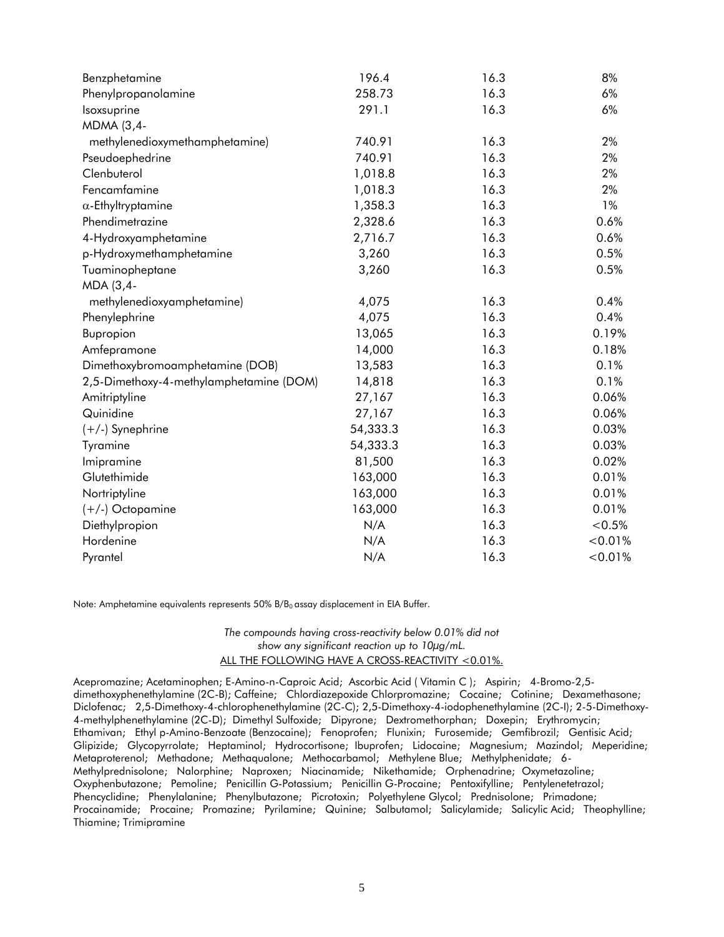| Benzphetamine                           | 196.4    | 16.3 | 8%      |
|-----------------------------------------|----------|------|---------|
| Phenylpropanolamine                     | 258.73   | 16.3 | 6%      |
| Isoxsuprine                             | 291.1    | 16.3 | 6%      |
| MDMA (3,4-                              |          |      |         |
| methylenedioxymethamphetamine)          | 740.91   | 16.3 | 2%      |
| Pseudoephedrine                         | 740.91   | 16.3 | 2%      |
| Clenbuterol                             | 1,018.8  | 16.3 | 2%      |
| Fencamfamine                            | 1,018.3  | 16.3 | 2%      |
| $\alpha$ -Ethyltryptamine               | 1,358.3  | 16.3 | 1%      |
| Phendimetrazine                         | 2,328.6  | 16.3 | 0.6%    |
| 4-Hydroxyamphetamine                    | 2,716.7  | 16.3 | 0.6%    |
| p-Hydroxymethamphetamine                | 3,260    | 16.3 | 0.5%    |
| Tuaminopheptane                         | 3,260    | 16.3 | 0.5%    |
| MDA (3,4-                               |          |      |         |
| methylenedioxyamphetamine)              | 4,075    | 16.3 | 0.4%    |
| Phenylephrine                           | 4,075    | 16.3 | 0.4%    |
| Bupropion                               | 13,065   | 16.3 | 0.19%   |
| Amfepramone                             | 14,000   | 16.3 | 0.18%   |
| Dimethoxybromoamphetamine (DOB)         | 13,583   | 16.3 | 0.1%    |
| 2,5-Dimethoxy-4-methylamphetamine (DOM) | 14,818   | 16.3 | 0.1%    |
| Amitriptyline                           | 27,167   | 16.3 | 0.06%   |
| Quinidine                               | 27,167   | 16.3 | 0.06%   |
| (+/-) Synephrine                        | 54,333.3 | 16.3 | 0.03%   |
| Tyramine                                | 54,333.3 | 16.3 | 0.03%   |
| Imipramine                              | 81,500   | 16.3 | 0.02%   |
| Glutethimide                            | 163,000  | 16.3 | 0.01%   |
| Nortriptyline                           | 163,000  | 16.3 | 0.01%   |
| (+/-) Octopamine                        | 163,000  | 16.3 | 0.01%   |
| Diethylpropion                          | N/A      | 16.3 | < 0.5%  |
| Hordenine                               | N/A      | 16.3 | < 0.01% |
| Pyrantel                                | N/A      | 16.3 | < 0.01% |

Note: Amphetamine equivalents represents  $50\%$  B/B<sub>0</sub> assay displacement in EIA Buffer.

*The compounds having cross-reactivity below 0.01% did not show any significant reaction up to 10µg/mL.* ALL THE FOLLOWING HAVE A CROSS-REACTIVITY <0.01%.

Acepromazine; Acetaminophen; E-Amino-n-Caproic Acid; Ascorbic Acid ( Vitamin C ); Aspirin; 4-Bromo-2,5 dimethoxyphenethylamine (2C-B); Caffeine; Chlordiazepoxide Chlorpromazine; Cocaine; Cotinine; Dexamethasone; Diclofenac; 2,5-Dimethoxy-4-chlorophenethylamine (2C-C); 2,5-Dimethoxy-4-iodophenethylamine (2C-I); 2-5-Dimethoxy-4-methylphenethylamine (2C-D); Dimethyl Sulfoxide; Dipyrone; Dextromethorphan; Doxepin; Erythromycin; Ethamivan; Ethyl p-Amino-Benzoate (Benzocaine); Fenoprofen; Flunixin; Furosemide; Gemfibrozil; Gentisic Acid; Glipizide; Glycopyrrolate; Heptaminol; Hydrocortisone; Ibuprofen; Lidocaine; Magnesium; Mazindol; Meperidine; Metaproterenol; Methadone; Methaqualone; Methocarbamol; Methylene Blue; Methylphenidate; 6- Methylprednisolone; Nalorphine; Naproxen; Niacinamide; Nikethamide; Orphenadrine; Oxymetazoline; Oxyphenbutazone; Pemoline; Penicillin G-Potassium; Penicillin G-Procaine; Pentoxifylline; Pentylenetetrazol; Phencyclidine; Phenylalanine; Phenylbutazone; Picrotoxin; Polyethylene Glycol; Prednisolone; Primadone; Procainamide; Procaine; Promazine; Pyrilamine; Quinine; Salbutamol; Salicylamide; Salicylic Acid; Theophylline; Thiamine; Trimipramine